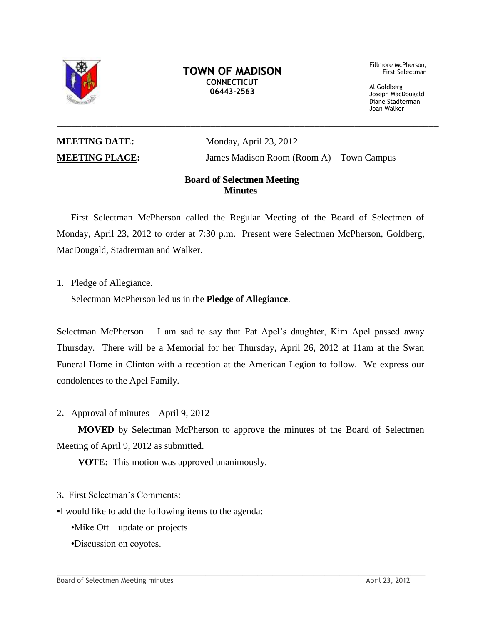

## **TOWN OF MADISON CONNECTICUT 06443-2563**

 Fillmore McPherson, First Selectman

 Al Goldberg Joseph MacDougald Diane Stadterman Joan Walker

**MEETING DATE:** Monday, April 23, 2012 **MEETING PLACE:** James Madison Room (Room A) – Town Campus

# **Board of Selectmen Meeting Minutes**

\_\_\_\_\_\_\_\_\_\_\_\_\_\_\_\_\_\_\_\_\_\_\_\_\_\_\_\_\_\_\_\_\_\_\_\_\_\_\_\_\_\_\_\_\_\_\_\_\_\_\_\_\_\_\_\_\_\_\_\_\_\_\_\_\_\_\_\_\_\_\_\_\_\_\_\_\_

First Selectman McPherson called the Regular Meeting of the Board of Selectmen of Monday, April 23, 2012 to order at 7:30 p.m. Present were Selectmen McPherson, Goldberg, MacDougald, Stadterman and Walker.

1. Pledge of Allegiance.

Selectman McPherson led us in the **Pledge of Allegiance**.

Selectman McPherson – I am sad to say that Pat Apel's daughter, Kim Apel passed away Thursday. There will be a Memorial for her Thursday, April 26, 2012 at 11am at the Swan Funeral Home in Clinton with a reception at the American Legion to follow. We express our condolences to the Apel Family.

2**.** Approval of minutes – April 9, 2012

**MOVED** by Selectman McPherson to approve the minutes of the Board of Selectmen Meeting of April 9, 2012 as submitted.

**VOTE:** This motion was approved unanimously.

3**.** First Selectman's Comments:

▪I would like to add the following items to the agenda:

•Mike Ott – update on projects

•Discussion on coyotes.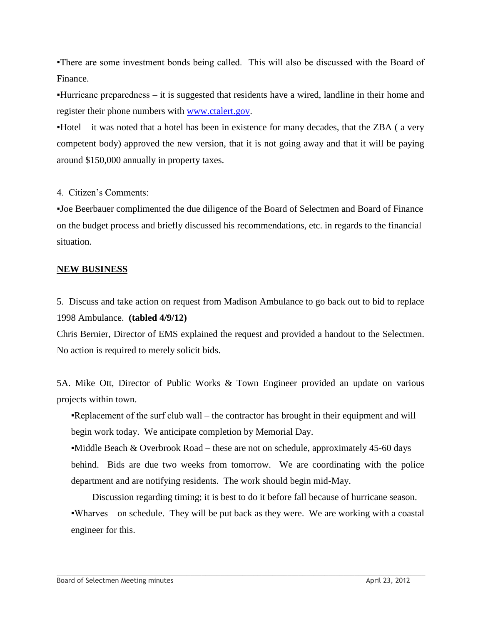▪There are some investment bonds being called. This will also be discussed with the Board of Finance.

▪Hurricane preparedness – it is suggested that residents have a wired, landline in their home and register their phone numbers with [www.ctalert.gov.](http://www.ctalert.gov/)

▪Hotel – it was noted that a hotel has been in existence for many decades, that the ZBA ( a very competent body) approved the new version, that it is not going away and that it will be paying around \$150,000 annually in property taxes.

4. Citizen's Comments:

▪Joe Beerbauer complimented the due diligence of the Board of Selectmen and Board of Finance on the budget process and briefly discussed his recommendations, etc. in regards to the financial situation.

## **NEW BUSINESS**

5. Discuss and take action on request from Madison Ambulance to go back out to bid to replace 1998 Ambulance. **(tabled 4/9/12)**

Chris Bernier, Director of EMS explained the request and provided a handout to the Selectmen. No action is required to merely solicit bids.

5A. Mike Ott, Director of Public Works & Town Engineer provided an update on various projects within town.

▪Replacement of the surf club wall – the contractor has brought in their equipment and will begin work today. We anticipate completion by Memorial Day.

 $\bullet$ Middle Beach & Overbrook Road – these are not on schedule, approximately 45-60 days behind. Bids are due two weeks from tomorrow. We are coordinating with the police department and are notifying residents. The work should begin mid-May.

Discussion regarding timing; it is best to do it before fall because of hurricane season. ▪Wharves – on schedule. They will be put back as they were. We are working with a coastal engineer for this.

 $\Box$  . The contribution of the contribution of the contribution of the contribution of the contribution of the contribution of the contribution of the contribution of the contribution of the contribution of the contributi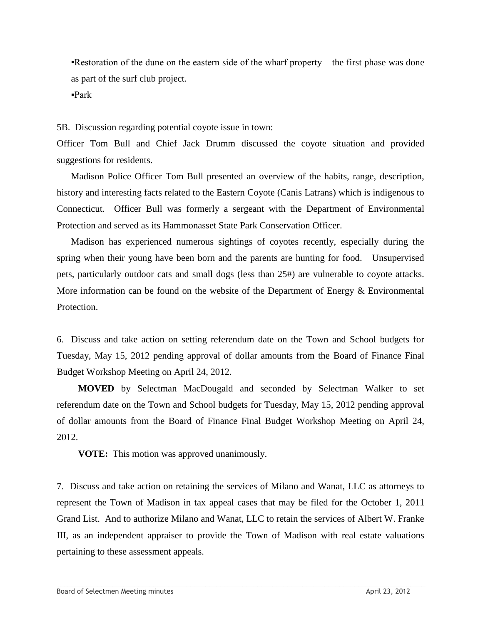▪Restoration of the dune on the eastern side of the wharf property – the first phase was done as part of the surf club project.

 $\textbf{P}$ ark

5B. Discussion regarding potential coyote issue in town:

Officer Tom Bull and Chief Jack Drumm discussed the coyote situation and provided suggestions for residents.

Madison Police Officer Tom Bull presented an overview of the habits, range, description, history and interesting facts related to the Eastern Coyote (Canis Latrans) which is indigenous to Connecticut. Officer Bull was formerly a sergeant with the Department of Environmental Protection and served as its Hammonasset State Park Conservation Officer.

Madison has experienced numerous sightings of coyotes recently, especially during the spring when their young have been born and the parents are hunting for food. Unsupervised pets, particularly outdoor cats and small dogs (less than 25#) are vulnerable to coyote attacks. More information can be found on the website of the Department of Energy & Environmental Protection.

6. Discuss and take action on setting referendum date on the Town and School budgets for Tuesday, May 15, 2012 pending approval of dollar amounts from the Board of Finance Final Budget Workshop Meeting on April 24, 2012.

**MOVED** by Selectman MacDougald and seconded by Selectman Walker to set referendum date on the Town and School budgets for Tuesday, May 15, 2012 pending approval of dollar amounts from the Board of Finance Final Budget Workshop Meeting on April 24, 2012.

**VOTE:** This motion was approved unanimously.

7. Discuss and take action on retaining the services of Milano and Wanat, LLC as attorneys to represent the Town of Madison in tax appeal cases that may be filed for the October 1, 2011 Grand List. And to authorize Milano and Wanat, LLC to retain the services of Albert W. Franke III, as an independent appraiser to provide the Town of Madison with real estate valuations pertaining to these assessment appeals.

 $\_$  ,  $\_$  ,  $\_$  ,  $\_$  ,  $\_$  ,  $\_$  ,  $\_$  ,  $\_$  ,  $\_$  ,  $\_$  ,  $\_$  ,  $\_$  ,  $\_$  ,  $\_$  ,  $\_$  ,  $\_$  ,  $\_$  ,  $\_$  ,  $\_$  ,  $\_$  ,  $\_$  ,  $\_$  ,  $\_$  ,  $\_$  ,  $\_$  ,  $\_$  ,  $\_$  ,  $\_$  ,  $\_$  ,  $\_$  ,  $\_$  ,  $\_$  ,  $\_$  ,  $\_$  ,  $\_$  ,  $\_$  ,  $\_$  ,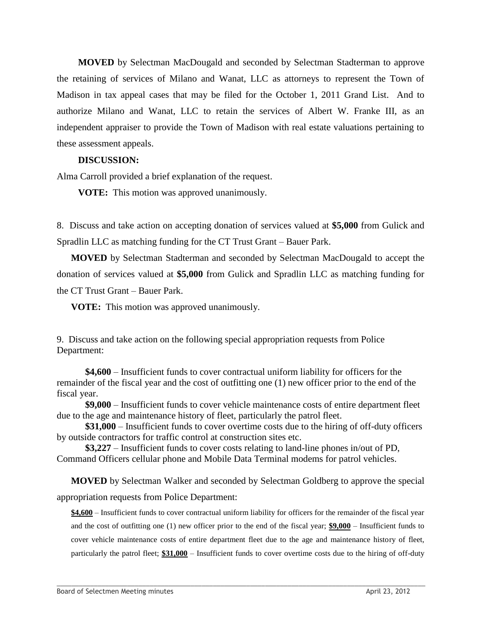**MOVED** by Selectman MacDougald and seconded by Selectman Stadterman to approve the retaining of services of Milano and Wanat, LLC as attorneys to represent the Town of Madison in tax appeal cases that may be filed for the October 1, 2011 Grand List. And to authorize Milano and Wanat, LLC to retain the services of Albert W. Franke III, as an independent appraiser to provide the Town of Madison with real estate valuations pertaining to these assessment appeals.

#### **DISCUSSION:**

Alma Carroll provided a brief explanation of the request.

**VOTE:** This motion was approved unanimously.

8. Discuss and take action on accepting donation of services valued at **\$5,000** from Gulick and Spradlin LLC as matching funding for the CT Trust Grant – Bauer Park.

**MOVED** by Selectman Stadterman and seconded by Selectman MacDougald to accept the donation of services valued at **\$5,000** from Gulick and Spradlin LLC as matching funding for the CT Trust Grant – Bauer Park.

**VOTE:** This motion was approved unanimously.

9. Discuss and take action on the following special appropriation requests from Police Department:

**\$4,600** – Insufficient funds to cover contractual uniform liability for officers for the remainder of the fiscal year and the cost of outfitting one (1) new officer prior to the end of the fiscal year.

**\$9,000** – Insufficient funds to cover vehicle maintenance costs of entire department fleet due to the age and maintenance history of fleet, particularly the patrol fleet.

**\$31,000** – Insufficient funds to cover overtime costs due to the hiring of off-duty officers by outside contractors for traffic control at construction sites etc.

**\$3,227** – Insufficient funds to cover costs relating to land-line phones in/out of PD, Command Officers cellular phone and Mobile Data Terminal modems for patrol vehicles.

**MOVED** by Selectman Walker and seconded by Selectman Goldberg to approve the special appropriation requests from Police Department:

**\$4,600** – Insufficient funds to cover contractual uniform liability for officers for the remainder of the fiscal year and the cost of outfitting one (1) new officer prior to the end of the fiscal year; **\$9,000** – Insufficient funds to cover vehicle maintenance costs of entire department fleet due to the age and maintenance history of fleet, particularly the patrol fleet; **\$31,000** – Insufficient funds to cover overtime costs due to the hiring of off-duty

 $\_$  ,  $\_$  ,  $\_$  ,  $\_$  ,  $\_$  ,  $\_$  ,  $\_$  ,  $\_$  ,  $\_$  ,  $\_$  ,  $\_$  ,  $\_$  ,  $\_$  ,  $\_$  ,  $\_$  ,  $\_$  ,  $\_$  ,  $\_$  ,  $\_$  ,  $\_$  ,  $\_$  ,  $\_$  ,  $\_$  ,  $\_$  ,  $\_$  ,  $\_$  ,  $\_$  ,  $\_$  ,  $\_$  ,  $\_$  ,  $\_$  ,  $\_$  ,  $\_$  ,  $\_$  ,  $\_$  ,  $\_$  ,  $\_$  ,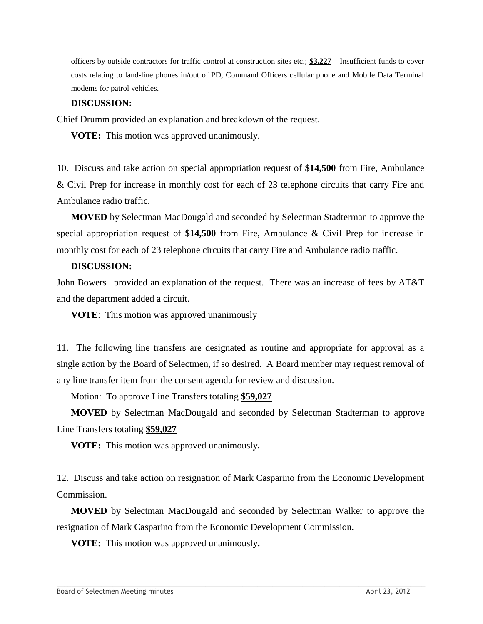officers by outside contractors for traffic control at construction sites etc.; **\$3,227** – Insufficient funds to cover costs relating to land-line phones in/out of PD, Command Officers cellular phone and Mobile Data Terminal modems for patrol vehicles.

## **DISCUSSION:**

Chief Drumm provided an explanation and breakdown of the request.

**VOTE:** This motion was approved unanimously.

10. Discuss and take action on special appropriation request of **\$14,500** from Fire, Ambulance & Civil Prep for increase in monthly cost for each of 23 telephone circuits that carry Fire and Ambulance radio traffic.

**MOVED** by Selectman MacDougald and seconded by Selectman Stadterman to approve the special appropriation request of **\$14,500** from Fire, Ambulance & Civil Prep for increase in monthly cost for each of 23 telephone circuits that carry Fire and Ambulance radio traffic.

## **DISCUSSION:**

John Bowers– provided an explanation of the request. There was an increase of fees by AT&T and the department added a circuit.

**VOTE**: This motion was approved unanimously

11. The following line transfers are designated as routine and appropriate for approval as a single action by the Board of Selectmen, if so desired. A Board member may request removal of any line transfer item from the consent agenda for review and discussion.

Motion: To approve Line Transfers totaling **\$59,027**

**MOVED** by Selectman MacDougald and seconded by Selectman Stadterman to approve Line Transfers totaling **\$59,027**

**VOTE:** This motion was approved unanimously**.** 

12. Discuss and take action on resignation of Mark Casparino from the Economic Development Commission.

**MOVED** by Selectman MacDougald and seconded by Selectman Walker to approve the resignation of Mark Casparino from the Economic Development Commission.

 $\_$  ,  $\_$  ,  $\_$  ,  $\_$  ,  $\_$  ,  $\_$  ,  $\_$  ,  $\_$  ,  $\_$  ,  $\_$  ,  $\_$  ,  $\_$  ,  $\_$  ,  $\_$  ,  $\_$  ,  $\_$  ,  $\_$  ,  $\_$  ,  $\_$  ,  $\_$  ,  $\_$  ,  $\_$  ,  $\_$  ,  $\_$  ,  $\_$  ,  $\_$  ,  $\_$  ,  $\_$  ,  $\_$  ,  $\_$  ,  $\_$  ,  $\_$  ,  $\_$  ,  $\_$  ,  $\_$  ,  $\_$  ,  $\_$  ,

**VOTE:** This motion was approved unanimously**.**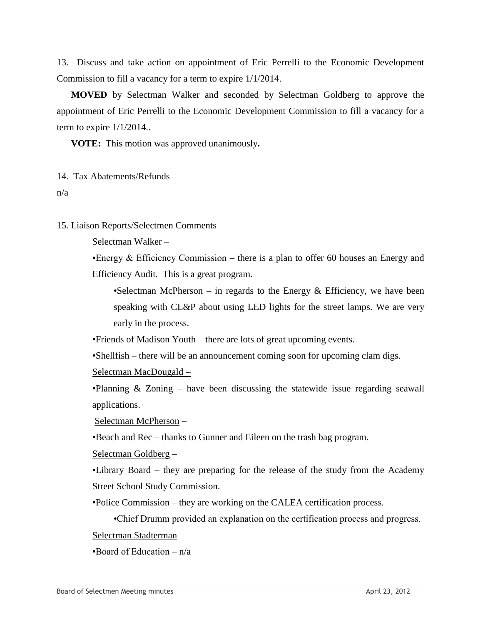13. Discuss and take action on appointment of Eric Perrelli to the Economic Development Commission to fill a vacancy for a term to expire 1/1/2014.

**MOVED** by Selectman Walker and seconded by Selectman Goldberg to approve the appointment of Eric Perrelli to the Economic Development Commission to fill a vacancy for a term to expire 1/1/2014..

**VOTE:** This motion was approved unanimously**.** 

#### 14. Tax Abatements/Refunds

n/a

#### 15. Liaison Reports/Selectmen Comments

Selectman Walker –

Energy  $&$  Efficiency Commission – there is a plan to offer 60 houses an Energy and Efficiency Audit. This is a great program.

•Selectman McPherson – in regards to the Energy  $\&$  Efficiency, we have been speaking with CL&P about using LED lights for the street lamps. We are very early in the process.

▪Friends of Madison Youth – there are lots of great upcoming events.

▪Shellfish – there will be an announcement coming soon for upcoming clam digs.

Selectman MacDougald –

**•Planning & Zoning – have been discussing the statewide issue regarding seawall** applications.

Selectman McPherson –

▪Beach and Rec – thanks to Gunner and Eileen on the trash bag program.

Selectman Goldberg –

▪Library Board – they are preparing for the release of the study from the Academy Street School Study Commission.

▪Police Commission – they are working on the CALEA certification process.

 $\_$  ,  $\_$  ,  $\_$  ,  $\_$  ,  $\_$  ,  $\_$  ,  $\_$  ,  $\_$  ,  $\_$  ,  $\_$  ,  $\_$  ,  $\_$  ,  $\_$  ,  $\_$  ,  $\_$  ,  $\_$  ,  $\_$  ,  $\_$  ,  $\_$  ,  $\_$  ,  $\_$  ,  $\_$  ,  $\_$  ,  $\_$  ,  $\_$  ,  $\_$  ,  $\_$  ,  $\_$  ,  $\_$  ,  $\_$  ,  $\_$  ,  $\_$  ,  $\_$  ,  $\_$  ,  $\_$  ,  $\_$  ,  $\_$  ,

•Chief Drumm provided an explanation on the certification process and progress.

Selectman Stadterman –

**Board of Education –**  $n/a$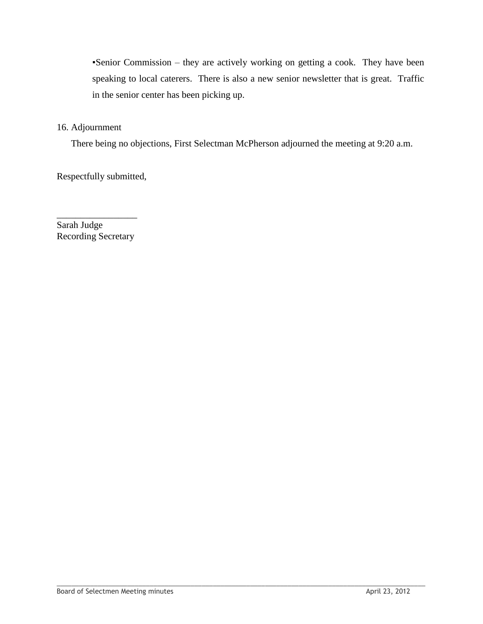▪Senior Commission – they are actively working on getting a cook. They have been speaking to local caterers. There is also a new senior newsletter that is great. Traffic in the senior center has been picking up.

# 16. Adjournment

There being no objections, First Selectman McPherson adjourned the meeting at 9:20 a.m.

 $\_$  ,  $\_$  ,  $\_$  ,  $\_$  ,  $\_$  ,  $\_$  ,  $\_$  ,  $\_$  ,  $\_$  ,  $\_$  ,  $\_$  ,  $\_$  ,  $\_$  ,  $\_$  ,  $\_$  ,  $\_$  ,  $\_$  ,  $\_$  ,  $\_$  ,  $\_$  ,  $\_$  ,  $\_$  ,  $\_$  ,  $\_$  ,  $\_$  ,  $\_$  ,  $\_$  ,  $\_$  ,  $\_$  ,  $\_$  ,  $\_$  ,  $\_$  ,  $\_$  ,  $\_$  ,  $\_$  ,  $\_$  ,  $\_$  ,

Respectfully submitted,

\_\_\_\_\_\_\_\_\_\_\_\_\_\_\_\_\_ Sarah Judge Recording Secretary